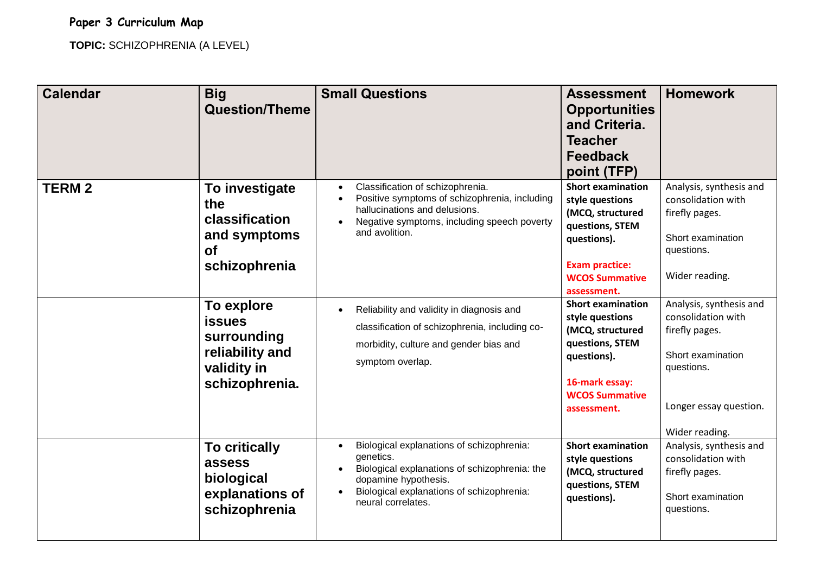## **Paper 3 Curriculum Map**

**TOPIC:** SCHIZOPHRENIA (A LEVEL)

| <b>Calendar</b> | <b>Big</b><br><b>Question/Theme</b>                                                            | <b>Small Questions</b>                                                                                                                                                                                                                    | <b>Assessment</b><br><b>Opportunities</b><br>and Criteria.<br><b>Teacher</b><br><b>Feedback</b><br>point (TFP)                                                     | <b>Homework</b>                                                                                                                                |
|-----------------|------------------------------------------------------------------------------------------------|-------------------------------------------------------------------------------------------------------------------------------------------------------------------------------------------------------------------------------------------|--------------------------------------------------------------------------------------------------------------------------------------------------------------------|------------------------------------------------------------------------------------------------------------------------------------------------|
| <b>TERM2</b>    | To investigate<br>the<br>classification<br>and symptoms<br><b>of</b><br>schizophrenia          | Classification of schizophrenia.<br>$\bullet$<br>Positive symptoms of schizophrenia, including<br>hallucinations and delusions.<br>Negative symptoms, including speech poverty<br>$\bullet$<br>and avolition.                             | <b>Short examination</b><br>style questions<br>(MCQ, structured<br>questions, STEM<br>questions).<br><b>Exam practice:</b><br><b>WCOS Summative</b><br>assessment. | Analysis, synthesis and<br>consolidation with<br>firefly pages.<br>Short examination<br>questions.<br>Wider reading.                           |
|                 | To explore<br><b>issues</b><br>surrounding<br>reliability and<br>validity in<br>schizophrenia. | Reliability and validity in diagnosis and<br>$\bullet$<br>classification of schizophrenia, including co-<br>morbidity, culture and gender bias and<br>symptom overlap.                                                                    | <b>Short examination</b><br>style questions<br>(MCQ, structured<br>questions, STEM<br>questions).<br>16-mark essay:<br><b>WCOS Summative</b><br>assessment.        | Analysis, synthesis and<br>consolidation with<br>firefly pages.<br>Short examination<br>questions.<br>Longer essay question.<br>Wider reading. |
|                 | <b>To critically</b><br>assess<br>biological<br>explanations of<br>schizophrenia               | Biological explanations of schizophrenia:<br>$\bullet$<br>genetics.<br>Biological explanations of schizophrenia: the<br>$\bullet$<br>dopamine hypothesis.<br>Biological explanations of schizophrenia:<br>$\bullet$<br>neural correlates. | <b>Short examination</b><br>style questions<br>(MCQ, structured<br>questions, STEM<br>questions).                                                                  | Analysis, synthesis and<br>consolidation with<br>firefly pages.<br>Short examination<br>questions.                                             |